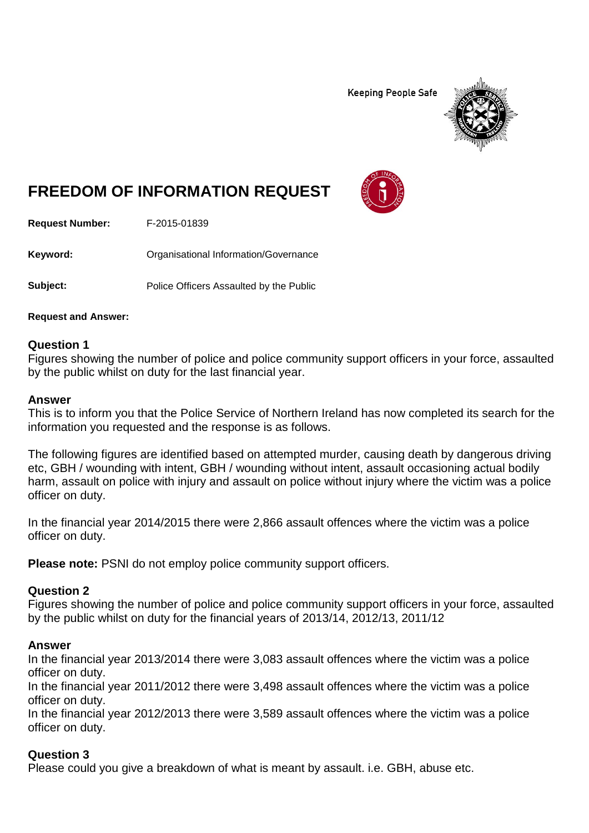**Keeping People Safe** 



# **FREEDOM OF INFORMATION REQUEST**

**Request Number:** F-2015-01839

**Keyword:** Organisational Information/Governance

**Subject:** Police Officers Assaulted by the Public

**Request and Answer:**

### **Question 1**

Figures showing the number of police and police community support officers in your force, assaulted by the public whilst on duty for the last financial year.

### **Answer**

This is to inform you that the Police Service of Northern Ireland has now completed its search for the information you requested and the response is as follows.

The following figures are identified based on attempted murder, causing death by dangerous driving etc, GBH / wounding with intent, GBH / wounding without intent, assault occasioning actual bodily harm, assault on police with injury and assault on police without injury where the victim was a police officer on duty.

In the financial year 2014/2015 there were 2,866 assault offences where the victim was a police officer on duty.

**Please note:** PSNI do not employ police community support officers.

### **Question 2**

Figures showing the number of police and police community support officers in your force, assaulted by the public whilst on duty for the financial years of 2013/14, 2012/13, 2011/12

### **Answer**

In the financial year 2013/2014 there were 3,083 assault offences where the victim was a police officer on duty.

In the financial year 2011/2012 there were 3,498 assault offences where the victim was a police officer on duty.

In the financial year 2012/2013 there were 3,589 assault offences where the victim was a police officer on duty.

## **Question 3**

Please could you give a breakdown of what is meant by assault. i.e. GBH, abuse etc.